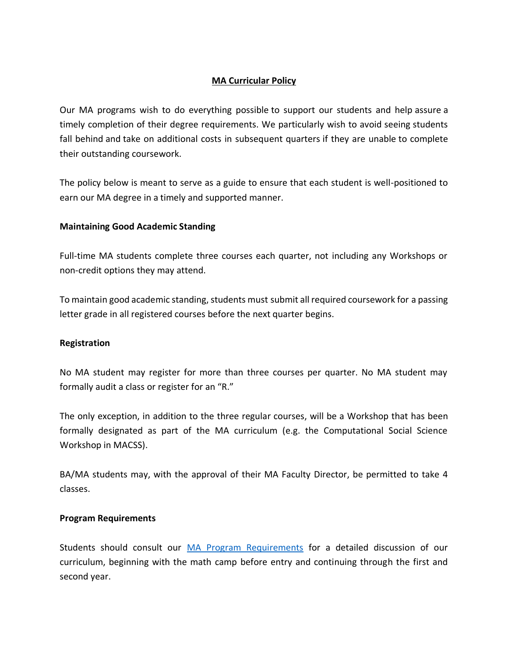# **MA Curricular Policy**

Our MA programs wish to do everything possible to support our students and help assure a timely completion of their degree requirements. We particularly wish to avoid seeing students fall behind and take on additional costs in subsequent quarters if they are unable to complete their outstanding coursework.

The policy below is meant to serve as a guide to ensure that each student is well-positioned to earn our MA degree in a timely and supported manner.

## **Maintaining Good Academic Standing**

Full-time MA students complete three courses each quarter, not including any Workshops or non-credit options they may attend.

To maintain good academic standing, students must submit all required coursework for a passing letter grade in all registered courses before the next quarter begins.

## **Registration**

No MA student may register for more than three courses per quarter. No MA student may formally audit a class or register for an "R."

The only exception, in addition to the three regular courses, will be a Workshop that has been formally designated as part of the MA curriculum (e.g. the Computational Social Science Workshop in MACSS).

BA/MA students may, with the approval of their MA Faculty Director, be permitted to take 4 classes.

## **Program Requirements**

Students should consult our [MA Program Requirements](https://macss.uchicago.edu/content/ma-program-requirements) for a detailed discussion of our curriculum, beginning with the math camp before entry and continuing through the first and second year.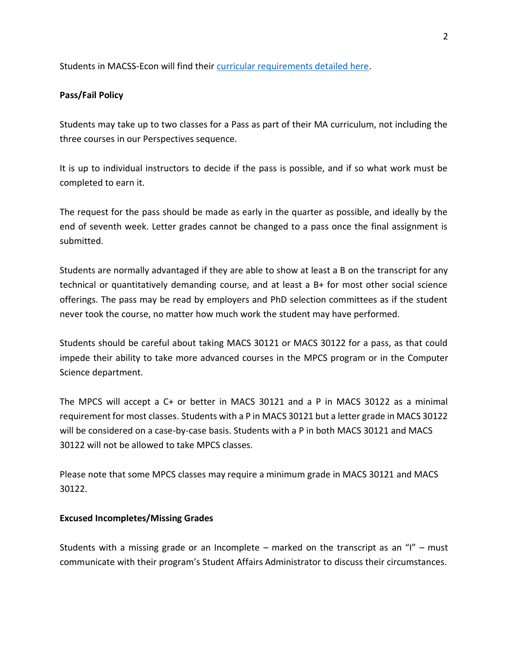Students in MACSS-Econ will find their [curricular requirements detailed here.](https://macss.uchicago.edu/content/macss-econ-curricular-requirements-0)

# **Pass/Fail Policy**

Students may take up to two classes for a Pass as part of their MA curriculum, not including the three courses in our Perspectives sequence.

It is up to individual instructors to decide if the pass is possible, and if so what work must be completed to earn it.

The request for the pass should be made as early in the quarter as possible, and ideally by the end of seventh week. Letter grades cannot be changed to a pass once the final assignment is submitted.

Students are normally advantaged if they are able to show at least a B on the transcript for any technical or quantitatively demanding course, and at least a B+ for most other social science offerings. The pass may be read by employers and PhD selection committees as if the student never took the course, no matter how much work the student may have performed.

Students should be careful about taking MACS 30121 or MACS 30122 for a pass, as that could impede their ability to take more advanced courses in the MPCS program or in the Computer Science department.

The MPCS will accept a C+ or better in MACS 30121 and a P in MACS 30122 as a minimal requirement for most classes. Students with a P in MACS 30121 but a letter grade in MACS 30122 will be considered on a case-by-case basis. Students with a P in both MACS 30121 and MACS 30122 will not be allowed to take MPCS classes.

Please note that some MPCS classes may require a minimum grade in MACS 30121 and MACS 30122.

## **Excused Incompletes/Missing Grades**

Students with a missing grade or an Incomplete – marked on the transcript as an "I" – must communicate with their program's Student Affairs Administrator to discuss their circumstances.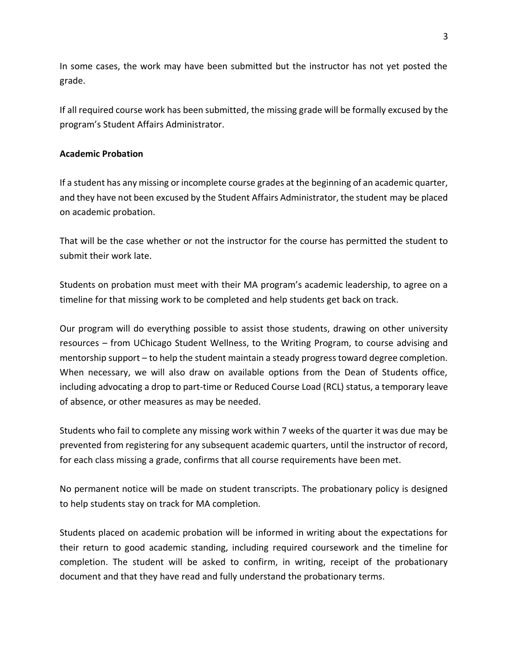In some cases, the work may have been submitted but the instructor has not yet posted the grade.

If all required course work has been submitted, the missing grade will be formally excused by the program's Student Affairs Administrator.

### **Academic Probation**

If a student has any missing or incomplete course grades at the beginning of an academic quarter, and they have not been excused by the Student Affairs Administrator, the student may be placed on academic probation.

That will be the case whether or not the instructor for the course has permitted the student to submit their work late.

Students on probation must meet with their MA program's academic leadership, to agree on a timeline for that missing work to be completed and help students get back on track.

Our program will do everything possible to assist those students, drawing on other university resources – from UChicago Student Wellness, to the Writing Program, to course advising and mentorship support – to help the student maintain a steady progress toward degree completion. When necessary, we will also draw on available options from the Dean of Students office, including advocating a drop to part-time or Reduced Course Load (RCL) status, a temporary leave of absence, or other measures as may be needed.

Students who fail to complete any missing work within 7 weeks of the quarter it was due may be prevented from registering for any subsequent academic quarters, until the instructor of record, for each class missing a grade, confirms that all course requirements have been met.

No permanent notice will be made on student transcripts. The probationary policy is designed to help students stay on track for MA completion.

Students placed on academic probation will be informed in writing about the expectations for their return to good academic standing, including required coursework and the timeline for completion. The student will be asked to confirm, in writing, receipt of the probationary document and that they have read and fully understand the probationary terms.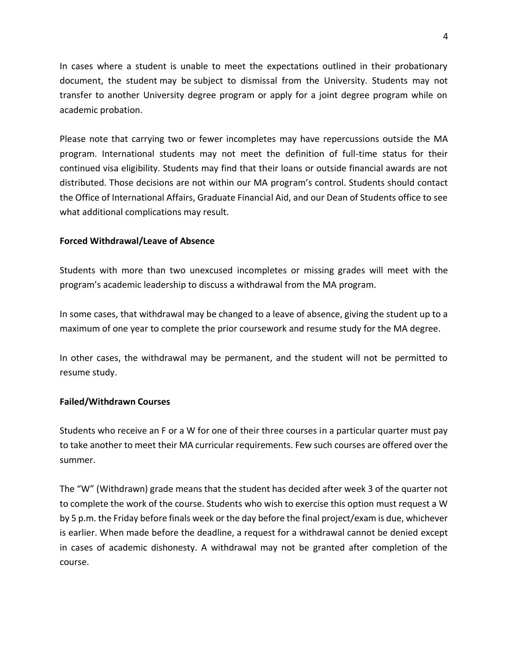In cases where a student is unable to meet the expectations outlined in their probationary document, the student may be subject to dismissal from the University. Students may not transfer to another University degree program or apply for a joint degree program while on academic probation.

Please note that carrying two or fewer incompletes may have repercussions outside the MA program. International students may not meet the definition of full-time status for their continued visa eligibility. Students may find that their loans or outside financial awards are not distributed. Those decisions are not within our MA program's control. Students should contact the Office of International Affairs, Graduate Financial Aid, and our Dean of Students office to see what additional complications may result.

### **Forced Withdrawal/Leave of Absence**

Students with more than two unexcused incompletes or missing grades will meet with the program's academic leadership to discuss a withdrawal from the MA program.

In some cases, that withdrawal may be changed to a leave of absence, giving the student up to a maximum of one year to complete the prior coursework and resume study for the MA degree.

In other cases, the withdrawal may be permanent, and the student will not be permitted to resume study.

#### **Failed/Withdrawn Courses**

Students who receive an F or a W for one of their three courses in a particular quarter must pay to take another to meet their MA curricular requirements. Few such courses are offered over the summer.

The "W" (Withdrawn) grade means that the student has decided after week 3 of the quarter not to complete the work of the course. Students who wish to exercise this option must request a W by 5 p.m. the Friday before finals week or the day before the final project/exam is due, whichever is earlier. When made before the deadline, a request for a withdrawal cannot be denied except in cases of academic dishonesty. A withdrawal may not be granted after completion of the course.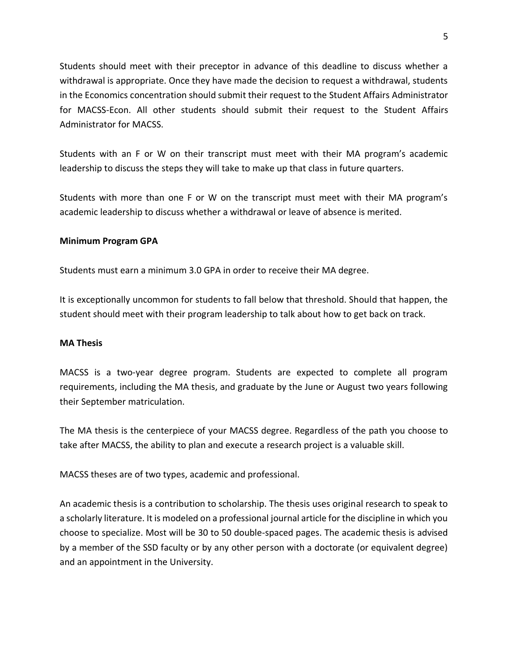Students should meet with their preceptor in advance of this deadline to discuss whether a withdrawal is appropriate. Once they have made the decision to request a withdrawal, students in the Economics concentration should submit their request to the Student Affairs Administrator for MACSS-Econ. All other students should submit their request to the Student Affairs Administrator for MACSS.

Students with an F or W on their transcript must meet with their MA program's academic leadership to discuss the steps they will take to make up that class in future quarters.

Students with more than one F or W on the transcript must meet with their MA program's academic leadership to discuss whether a withdrawal or leave of absence is merited.

### **Minimum Program GPA**

Students must earn a minimum 3.0 GPA in order to receive their MA degree.

It is exceptionally uncommon for students to fall below that threshold. Should that happen, the student should meet with their program leadership to talk about how to get back on track.

#### **MA Thesis**

MACSS is a two-year degree program. Students are expected to complete all program requirements, including the MA thesis, and graduate by the June or August two years following their September matriculation.

The MA thesis is the centerpiece of your MACSS degree. Regardless of the path you choose to take after MACSS, the ability to plan and execute a research project is a valuable skill.

MACSS theses are of two types, academic and professional.

An academic thesis is a contribution to scholarship. The thesis uses original research to speak to a scholarly literature. It is modeled on a professional journal article for the discipline in which you choose to specialize. Most will be 30 to 50 double-spaced pages. The academic thesis is advised by a member of the SSD faculty or by any other person with a doctorate (or equivalent degree) and an appointment in the University.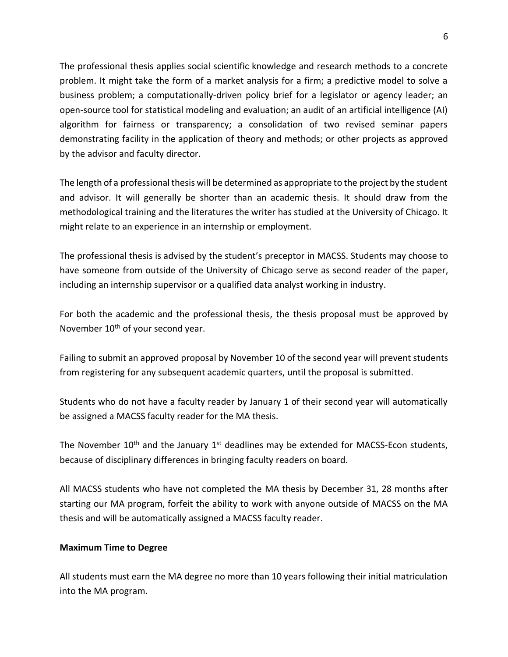The professional thesis applies social scientific knowledge and research methods to a concrete problem. It might take the form of a market analysis for a firm; a predictive model to solve a business problem; a computationally-driven policy brief for a legislator or agency leader; an open-source tool for statistical modeling and evaluation; an audit of an artificial intelligence (AI) algorithm for fairness or transparency; a consolidation of two revised seminar papers demonstrating facility in the application of theory and methods; or other projects as approved by the advisor and faculty director.

The length of a professional thesis will be determined as appropriate to the project by the student and advisor. It will generally be shorter than an academic thesis. It should draw from the methodological training and the literatures the writer has studied at the University of Chicago. It might relate to an experience in an internship or employment.

The professional thesis is advised by the student's preceptor in MACSS. Students may choose to have someone from outside of the University of Chicago serve as second reader of the paper, including an internship supervisor or a qualified data analyst working in industry.

For both the academic and the professional thesis, the thesis proposal must be approved by November 10<sup>th</sup> of your second year.

Failing to submit an approved proposal by November 10 of the second year will prevent students from registering for any subsequent academic quarters, until the proposal is submitted.

Students who do not have a faculty reader by January 1 of their second year will automatically be assigned a MACSS faculty reader for the MA thesis.

The November  $10^{th}$  and the January  $1^{st}$  deadlines may be extended for MACSS-Econ students, because of disciplinary differences in bringing faculty readers on board.

All MACSS students who have not completed the MA thesis by December 31, 28 months after starting our MA program, forfeit the ability to work with anyone outside of MACSS on the MA thesis and will be automatically assigned a MACSS faculty reader.

## **Maximum Time to Degree**

All students must earn the MA degree no more than 10 years following their initial matriculation into the MA program.